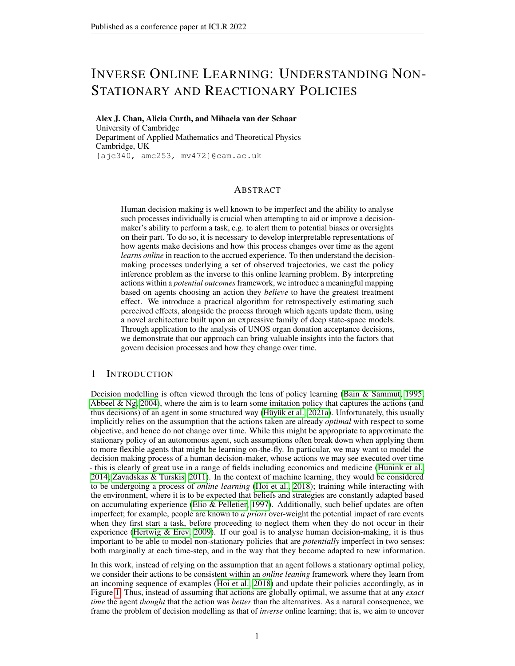# INVERSE ONLINE LEARNING: UNDERSTANDING NON-STATIONARY AND REACTIONARY POLICIES

Alex J. Chan, Alicia Curth, and Mihaela van der Schaar University of Cambridge Department of Applied Mathematics and Theoretical Physics Cambridge, UK {ajc340, amc253, mv472}@cam.ac.uk

## ABSTRACT

Human decision making is well known to be imperfect and the ability to analyse such processes individually is crucial when attempting to aid or improve a decisionmaker's ability to perform a task, e.g. to alert them to potential biases or oversights on their part. To do so, it is necessary to develop interpretable representations of how agents make decisions and how this process changes over time as the agent *learns online* in reaction to the accrued experience. To then understand the decisionmaking processes underlying a set of observed trajectories, we cast the policy inference problem as the inverse to this online learning problem. By interpreting actions within a *potential outcomes* framework, we introduce a meaningful mapping based on agents choosing an action they *believe* to have the greatest treatment effect. We introduce a practical algorithm for retrospectively estimating such perceived effects, alongside the process through which agents update them, using a novel architecture built upon an expressive family of deep state-space models. Through application to the analysis of UNOS organ donation acceptance decisions, we demonstrate that our approach can bring valuable insights into the factors that govern decision processes and how they change over time.

# 1 INTRODUCTION

Decision modelling is often viewed through the lens of policy learning [\(Bain & Sammut, 1995;](#page-9-0) [Abbeel & Ng, 2004\)](#page-9-1), where the aim is to learn some imitation policy that captures the actions (and thus decisions) of an agent in some structured way [\(Hüyük et al., 2021a\)](#page-10-0). Unfortunately, this usually implicitly relies on the assumption that the actions taken are already *optimal* with respect to some objective, and hence do not change over time. While this might be appropriate to approximate the stationary policy of an autonomous agent, such assumptions often break down when applying them to more flexible agents that might be learning on-the-fly. In particular, we may want to model the decision making process of a human decision-maker, whose actions we may see executed over time - this is clearly of great use in a range of fields including economics and medicine [\(Hunink et al.,](#page-10-1) [2014;](#page-10-1) [Zavadskas & Turskis, 2011\)](#page-11-0). In the context of machine learning, they would be considered to be undergoing a process of *online learning* [\(Hoi et al., 2018\)](#page-10-2); training while interacting with the environment, where it is to be expected that beliefs and strategies are constantly adapted based on accumulating experience [\(Elio & Pelletier, 1997\)](#page-9-2). Additionally, such belief updates are often imperfect; for example, people are known to *a priori* over-weight the potential impact of rare events when they first start a task, before proceeding to neglect them when they do not occur in their experience (Hertwig  $&$  Erev, 2009). If our goal is to analyse human decision-making, it is thus important to be able to model non-stationary policies that are *potentially* imperfect in two senses: both marginally at each time-step, and in the way that they become adapted to new information.

In this work, instead of relying on the assumption that an agent follows a stationary optimal policy, we consider their actions to be consistent within an *online leaning* framework where they learn from an incoming sequence of examples [\(Hoi et al., 2018\)](#page-10-2) and update their policies accordingly, as in Figure [1.](#page-1-0) Thus, instead of assuming that actions are globally optimal, we assume that at any *exact time* the agent *thought* that the action was *better* than the alternatives. As a natural consequence, we frame the problem of decision modelling as that of *inverse* online learning; that is, we aim to uncover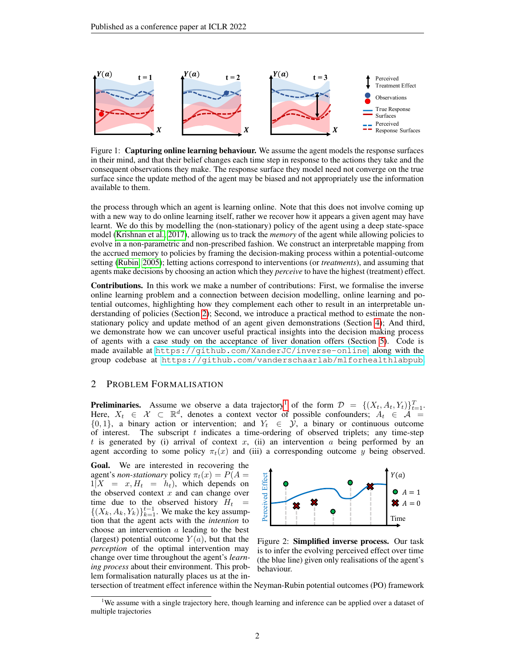<span id="page-1-0"></span>

Figure 1: Capturing online learning behaviour. We assume the agent models the response surfaces in their mind, and that their belief changes each time step in response to the actions they take and the consequent observations they make. The response surface they model need not converge on the true surface since the update method of the agent may be biased and not appropriately use the information available to them.

the process through which an agent is learning online. Note that this does not involve coming up with a new way to do online learning itself, rather we recover how it appears a given agent may have learnt. We do this by modelling the (non-stationary) policy of the agent using a deep state-space model [\(Krishnan et al., 2017\)](#page-10-4), allowing us to track the *memory* of the agent while allowing policies to evolve in a non-parametric and non-prescribed fashion. We construct an interpretable mapping from the accrued memory to policies by framing the decision-making process within a potential-outcome setting [\(Rubin, 2005\)](#page-10-5); letting actions correspond to interventions (or *treatments*), and assuming that agents make decisions by choosing an action which they *perceive* to have the highest (treatment) effect.

Contributions. In this work we make a number of contributions: First, we formalise the inverse online learning problem and a connection between decision modelling, online learning and potential outcomes, highlighting how they complement each other to result in an interpretable un-derstanding of policies (Section [2\)](#page-1-1); Second, we introduce a practical method to estimate the nonstationary policy and update method of an agent given demonstrations (Section [4\)](#page-3-0); And third, we demonstrate how we can uncover useful practical insights into the decision making process of agents with a case study on the acceptance of liver donation offers (Section [5\)](#page-6-0). Code is made available at <https://github.com/XanderJC/inverse-online>, along with the group codebase at <https://github.com/vanderschaarlab/mlforhealthlabpub>.

## <span id="page-1-1"></span>2 PROBLEM FORMALISATION

**Preliminaries.** Assume we observe a data trajectory<sup>[1](#page-1-2)</sup> of the form  $\mathcal{D} = \{ (X_t, A_t, Y_t) \}_{t=1}^T$ . Here,  $X_t \in \mathcal{X} \subset \mathbb{R}^d$ , denotes a context vector of possible confounders;  $A_t \in \mathcal{A} =$  $\{0, 1\}$ , a binary action or intervention; and  $Y_t \in \mathcal{Y}$ , a binary or continuous outcome of interest. The subscript  $t$  indicates a time-ordering of observed triplets; any time-step t is generated by (i) arrival of context x, (ii) an intervention a being performed by an agent according to some policy  $\pi_t(x)$  and (iii) a corresponding outcome y being observed.

Goal. We are interested in recovering the agent's *non-stationary* policy  $\pi_t(x) = P(A =$  $1|X = x, H_t = h_t$ , which depends on the observed context  $x$  and can change over time due to the observed history  $H_t =$  $\{(X_k, A_k, Y_k)\}_{k=1}^{t-1}$ . We make the key assumption that the agent acts with the *intention* to choose an intervention a leading to the best (largest) potential outcome  $Y(a)$ , but that the *perception* of the optimal intervention may change over time throughout the agent's *learning process* about their environment. This problem formalisation naturally places us at the in-



Figure 2: Simplified inverse process. Our task is to infer the evolving perceived effect over time (the blue line) given only realisations of the agent's behaviour.

tersection of treatment effect inference within the Neyman-Rubin potential outcomes (PO) framework

<span id="page-1-2"></span><sup>&</sup>lt;sup>1</sup>We assume with a single trajectory here, though learning and inference can be applied over a dataset of multiple trajectories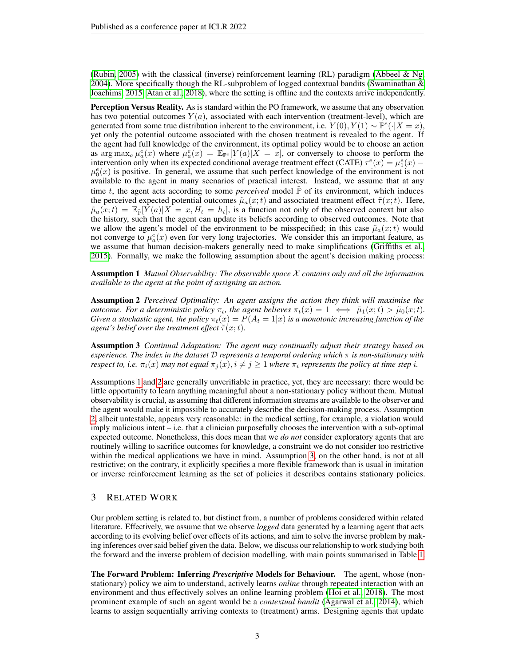[\(Rubin, 2005\)](#page-10-5) with the classical (inverse) reinforcement learning (RL) paradigm [\(Abbeel & Ng,](#page-9-1) [2004\)](#page-9-1). More specifically though the RL-subproblem of logged contextual bandits (Swaminathan  $\&$ [Joachims, 2015;](#page-11-1) [Atan et al., 2018\)](#page-9-3), where the setting is offline and the contexts arrive independently.

Perception Versus Reality. As is standard within the PO framework, we assume that any observation has two potential outcomes  $Y(a)$ , associated with each intervention (treatment-level), which are generated from some true distribution inherent to the environment, i.e.  $Y(0), Y(1) \sim \mathbb{P}^e(\cdot | X = x)$ , yet only the potential outcome associated with the chosen treatment is revealed to the agent. If the agent had full knowledge of the environment, its optimal policy would be to choose an action as  $\arg \max_a \mu_a^e(x)$  where  $\mu_a^e(x) = \mathbb{E}_{\mathbb{P}^e}[Y(a)|X=x]$ , or conversely to choose to perform the intervention only when its expected conditional average treatment effect (CATE)  $\tau^e(x) = \mu_1^e(x)$  –  $\mu_0^e(x)$  is positive. In general, we assume that such perfect knowledge of the environment is not available to the agent in many scenarios of practical interest. Instead, we assume that at any time t, the agent acts according to some *perceived* model  $\mathbb P$  of its environment, which induces the perceived expected potential outcomes  $\tilde{\mu}_a(x;t)$  and associated treatment effect  $\tilde{\tau}(x;t)$ . Here,  $\tilde{\mu}_a(x;t) = \mathbb{E}_{\tilde{p}}[Y(a)|X=x,H_t=h_t]$ , is a function not only of the observed context but also the history, such that the agent can update its beliefs according to observed outcomes. Note that we allow the agent's model of the environment to be misspecified; in this case  $\tilde{\mu}_a(x;t)$  would not converge to  $\mu_a^e(x)$  even for very long trajectories. We consider this an important feature, as we assume that human decision-makers generally need to make simplifications [\(Griffiths et al.,](#page-10-6) [2015\)](#page-10-6). Formally, we make the following assumption about the agent's decision making process:

<span id="page-2-0"></span>Assumption 1 *Mutual Observability: The observable space* X *contains only and all the information available to the agent at the point of assigning an action.*

<span id="page-2-1"></span>Assumption 2 *Perceived Optimality: An agent assigns the action they think will maximise the outcome. For a deterministic policy*  $\pi_t$ *, the agent believes*  $\pi_t(x) = 1 \iff \tilde{\mu}_1(x;t) > \tilde{\mu}_0(x;t)$ . *Given a stochastic agent, the policy*  $\pi_t(x) = P(A_t = 1|x)$  *is a monotonic increasing function of the agent's belief over the treatment effect*  $\tilde{\tau}(x;t)$ *.* 

<span id="page-2-2"></span>Assumption 3 *Continual Adaptation: The agent may continually adjust their strategy based on experience. The index in the dataset* D *represents a temporal ordering which* π *is non-stationary with respect to, i.e.*  $\pi_i(x)$  *may not equal*  $\pi_i(x)$ ,  $i \neq j \geq 1$  *where*  $\pi_i$  *represents the policy at time step i.* 

Assumptions [1](#page-2-0) and [2](#page-2-1) are generally unverifiable in practice, yet, they are necessary: there would be little opportunity to learn anything meaningful about a non-stationary policy without them. Mutual observability is crucial, as assuming that different information streams are available to the observer and the agent would make it impossible to accurately describe the decision-making process. Assumption [2,](#page-2-1) albeit untestable, appears very reasonable: in the medical setting, for example, a violation would imply malicious intent – i.e. that a clinician purposefully chooses the intervention with a sub-optimal expected outcome. Nonetheless, this does mean that we *do not* consider exploratory agents that are routinely willing to sacrifice outcomes for knowledge, a constraint we do not consider too restrictive within the medical applications we have in mind. Assumption [3,](#page-2-2) on the other hand, is not at all restrictive; on the contrary, it explicitly specifies a more flexible framework than is usual in imitation or inverse reinforcement learning as the set of policies it describes contains stationary policies.

## <span id="page-2-3"></span>3 RELATED WORK

Our problem setting is related to, but distinct from, a number of problems considered within related literature. Effectively, we assume that we observe *logged* data generated by a learning agent that acts according to its evolving belief over effects of its actions, and aim to solve the inverse problem by making inferences over said belief given the data. Below, we discuss our relationship to work studying both the forward and the inverse problem of decision modelling, with main points summarised in Table [1.](#page-3-1)

The Forward Problem: Inferring *Prescriptive* Models for Behaviour. The agent, whose (nonstationary) policy we aim to understand, actively learns *online* through repeated interaction with an environment and thus effectively solves an online learning problem [\(Hoi et al., 2018\)](#page-10-2). The most prominent example of such an agent would be a *contextual bandit* [\(Agarwal et al., 2014\)](#page-9-4), which learns to assign sequentially arriving contexts to (treatment) arms. Designing agents that update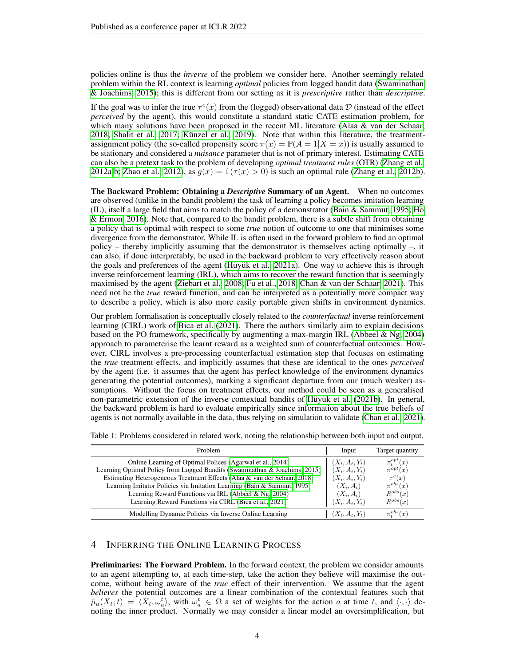policies online is thus the *inverse* of the problem we consider here. Another seemingly related problem within the RL context is learning *optimal* policies from logged bandit data [\(Swaminathan](#page-11-1) [& Joachims, 2015\)](#page-11-1); this is different from our setting as it is *prescriptive* rather than *descriptive*.

If the goal was to infer the true  $\tau^e(x)$  from the (logged) observational data D (instead of the effect *perceived* by the agent), this would constitute a standard static CATE estimation problem, for which many solutions have been proposed in the recent ML literature [\(Alaa & van der Schaar,](#page-9-5) [2018;](#page-9-5) [Shalit et al., 2017;](#page-10-7) [Künzel et al., 2019\)](#page-10-8). Note that within this literature, the treatmentassignment policy (the so-called propensity score  $\pi(x) = \mathbb{P}(A = 1 | X = x)$ ) is usually assumed to be stationary and considered a *nuisance* parameter that is not of primary interest. Estimating CATE can also be a pretext task to the problem of developing *optimal treatment rules* (OTR) [\(Zhang et al.,](#page-11-2) [2012a;](#page-11-2)[b;](#page-11-3) [Zhao et al., 2012\)](#page-11-4), as  $g(x) = \mathbb{1}(\tau(x) > 0)$  is such an optimal rule [\(Zhang et al., 2012b\)](#page-11-3).

The Backward Problem: Obtaining a *Descriptive* Summary of an Agent. When no outcomes are observed (unlike in the bandit problem) the task of learning a policy becomes imitation learning (IL), itself a large field that aims to match the policy of a demonstrator [\(Bain & Sammut, 1995;](#page-9-0) [Ho](#page-10-9) [& Ermon, 2016\)](#page-10-9). Note that, compared to the bandit problem, there is a subtle shift from obtaining a policy that is optimal with respect to some *true* notion of outcome to one that minimises some divergence from the demonstrator. While IL is often used in the forward problem to find an optimal policy – thereby implicitly assuming that the demonstrator is themselves acting optimally –, it can also, if done interpretably, be used in the backward problem to very effectively reason about the goals and preferences of the agent [\(Hüyük et al., 2021a\)](#page-10-0). One way to achieve this is through inverse reinforcement learning (IRL), which aims to recover the reward function that is seemingly maximised by the agent [\(Ziebart et al., 2008;](#page-11-5) [Fu et al., 2018;](#page-9-6) [Chan & van der Schaar, 2021\)](#page-9-7). This need not be the *true* reward function, and can be interpreted as a potentially more compact way to describe a policy, which is also more easily portable given shifts in environment dynamics.

Our problem formalisation is conceptually closely related to the *counterfactual* inverse reinforcement learning (CIRL) work of [Bica et al.](#page-9-8) [\(2021\)](#page-9-8). There the authors similarly aim to explain decisions based on the PO framework, specifically by augmenting a max-margin IRL [\(Abbeel & Ng, 2004\)](#page-9-1) approach to parameterise the learnt reward as a weighted sum of counterfactual outcomes. However, CIRL involves a pre-processing counterfactual estimation step that focuses on estimating the *true* treatment effects, and implicitly assumes that these are identical to the ones *perceived* by the agent (i.e. it assumes that the agent has perfect knowledge of the environment dynamics generating the potential outcomes), marking a significant departure from our (much weaker) assumptions. Without the focus on treatment effects, our method could be seen as a generalised non-parametric extension of the inverse contextual bandits of [Hüyük et al.](#page-10-10) [\(2021b\)](#page-10-10). In general, the backward problem is hard to evaluate empirically since information about the true beliefs of agents is not normally available in the data, thus relying on simulation to validate [\(Chan et al., 2021\)](#page-9-9).

| Problem                                                                    | Input             | Target quantity           |
|----------------------------------------------------------------------------|-------------------|---------------------------|
| Online Learning of Optimal Polices (Agarwal et al., 2014)                  | $(X_t, A_t, Y_t)$ | $\pi_t^{opt}(x)$          |
| Learning Optimal Policy from Logged Bandits (Swaminathan & Joachims, 2015) | $(X_i, A_i, Y_i)$ | $\pi^{opt}(x)$            |
| Estimating Heterogeneous Treatment Effects (Alaa & van der Schaar, 2018)   | $(X_i, A_i, Y_i)$ | $\tau^e(x)$               |
| Learning Imitator Policies via Imitation Learning (Bain & Sammut, 1995)    | $(X_i, A_i)$      | $\pi^{obs}(x)$            |
| Learning Reward Functions via IRL (Abbeel & Ng, 2004)                      | $(X_i, A_i)$      | $R^{obs}(x)$              |
| Learning Reward Functions via CIRL (Bica et al., 2021)                     | $(X_i, A_i, Y_i)$ | $R^{obs}(x)$              |
| Modelling Dynamic Policies via Inverse Online Learning                     | $(X_t, A_t, Y_t)$ | $\pi^{obs}_{\epsilon}(x)$ |

<span id="page-3-1"></span>Table 1: Problems considered in related work, noting the relationship between both input and output.

## <span id="page-3-0"></span>4 INFERRING THE ONLINE LEARNING PROCESS

Preliminaries: The Forward Problem. In the forward context, the problem we consider amounts to an agent attempting to, at each time-step, take the action they believe will maximise the outcome, without being aware of the *true* effect of their intervention. We assume that the agent *believes* the potential outcomes are a linear combination of the contextual features such that  $\tilde{\mu}_a(X_t;t) = \langle X_t, \omega_a^t \rangle$ , with  $\omega_a^t \in \Omega$  a set of weights for the action a at time t, and  $\langle \cdot, \cdot \rangle$  denoting the inner product. Normally we may consider a linear model an oversimplification, but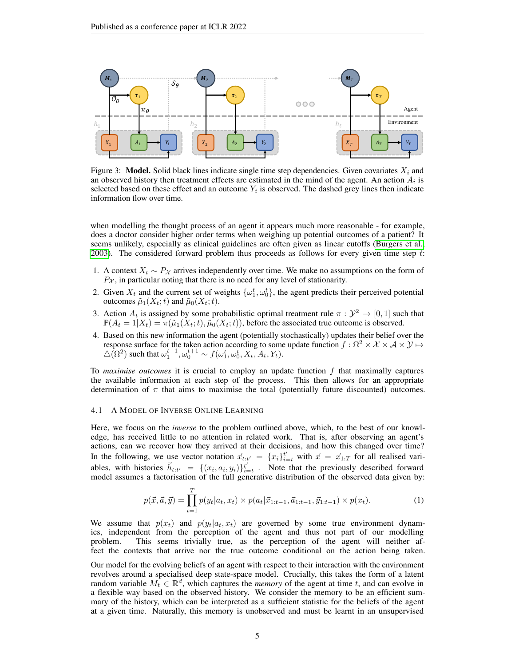

Figure 3: Model. Solid black lines indicate single time step dependencies. Given covariates  $X_i$  and an observed history then treatment effects are estimated in the mind of the agent. An action  $A_i$  is selected based on these effect and an outcome  $Y_i$  is observed. The dashed grey lines then indicate information flow over time.

when modelling the thought process of an agent it appears much more reasonable - for example, does a doctor consider higher order terms when weighing up potential outcomes of a patient? It seems unlikely, especially as clinical guidelines are often given as linear cutoffs [\(Burgers et al.,](#page-9-10) [2003\)](#page-9-10). The considered forward problem thus proceeds as follows for every given time step  $t$ :

- 1. A context  $X_t \sim P_X$  arrives independently over time. We make no assumptions on the form of  $P_{\mathcal{X}}$ , in particular noting that there is no need for any level of stationarity.
- 2. Given  $X_t$  and the current set of weights  $\{\omega_1^t, \omega_0^t\}$ , the agent predicts their perceived potential outcomes  $\tilde{\mu}_1(X_t;t)$  and  $\tilde{\mu}_0(X_t;t)$ .
- 3. Action  $A_t$  is assigned by some probabilistic optimal treatment rule  $\pi : \mathcal{Y}^2 \mapsto [0,1]$  such that  $\mathbb{P}(A_t = 1 | X_t) = \pi(\tilde{\mu}_1(X_t; t), \tilde{\mu}_0(X_t; t))$ , before the associated true outcome is observed.
- 4. Based on this new information the agent (potentially stochastically) updates their belief over the response surface for the taken action according to some update function  $f : \Omega^2 \times X \times \mathcal{A} \times \mathcal{Y} \mapsto$  $\triangle(\Omega^2)$  such that  $\omega_1^{t+1}, \omega_0^{t+1} \sim f(\omega_1^t, \omega_0^t, X_t, A_t, Y_t)$ .

To *maximise outcomes* it is crucial to employ an update function  $f$  that maximally captures the available information at each step of the process. This then allows for an appropriate determination of  $\pi$  that aims to maximise the total (potentially future discounted) outcomes.

#### 4.1 A MODEL OF INVERSE ONLINE LEARNING

Here, we focus on the *inverse* to the problem outlined above, which, to the best of our knowledge, has received little to no attention in related work. That is, after observing an agent's actions, can we recover how they arrived at their decisions, and how this changed over time? In the following, we use vector notation  $\vec{x}_{t:t'} = \{x_i\}_{i=t}^{t'}$  with  $\vec{x} = \vec{x}_{1:T}$  for all realised variables, with histories  $\vec{h}_{t:t'} = \{(x_i, a_i, y_i)\}_{i=t}^{t'}$ . Note that the previously described forward model assumes a factorisation of the full generative distribution of the observed data given by:

$$
p(\vec{x}, \vec{a}, \vec{y}) = \prod_{t=1}^{T} p(y_t | a_t, x_t) \times p(a_t | \vec{x}_{1:t-1}, \vec{a}_{1:t-1}, \vec{y}_{1:t-1}) \times p(x_t).
$$
 (1)

We assume that  $p(x_t)$  and  $p(y_t|a_t, x_t)$  are governed by some true environment dynamics, independent from the perception of the agent and thus not part of our modelling problem. This seems trivially true, as the perception of the agent will neither affect the contexts that arrive nor the true outcome conditional on the action being taken.

Our model for the evolving beliefs of an agent with respect to their interaction with the environment revolves around a specialised deep state-space model. Crucially, this takes the form of a latent random variable  $M_t \in \mathbb{R}^d$ , which captures the *memory* of the agent at time t, and can evolve in a flexible way based on the observed history. We consider the memory to be an efficient summary of the history, which can be interpreted as a sufficient statistic for the beliefs of the agent at a given time. Naturally, this memory is unobserved and must be learnt in an unsupervised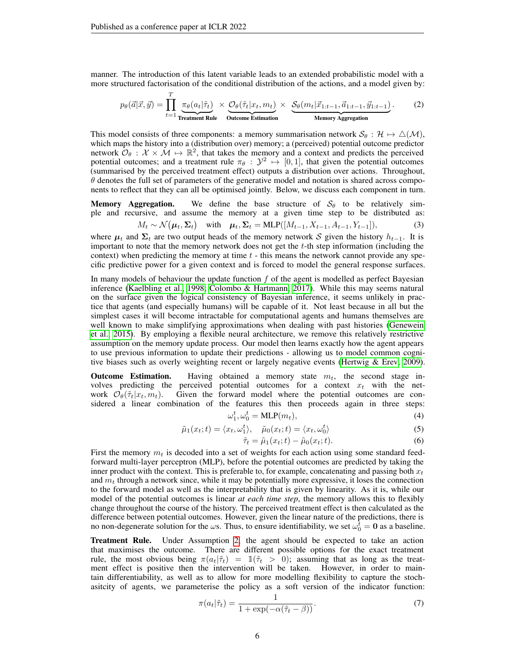manner. The introduction of this latent variable leads to an extended probabilistic model with a more structured factorisation of the conditional distribution of the actions, and a model given by:

$$
p_{\theta}(\vec{a}|\vec{x},\vec{y}) = \prod_{t=1}^{T} \underbrace{\pi_{\theta}(a_t|\tilde{\tau}_t)}_{\text{Treatment Rule}} \times \underbrace{\mathcal{O}_{\theta}(\tilde{\tau}_t|x_t,m_t)}_{\text{Outcome Estimation}} \times \underbrace{\mathcal{S}_{\theta}(m_t|\vec{x}_{1:t-1},\vec{a}_{1:t-1},\vec{y}_{1:t-1})}_{\text{Memory Aggregation}}.
$$
 (2)

This model consists of three components: a memory summarisation network  $S_{\theta}: \mathcal{H} \mapsto \Delta(\mathcal{M})$ , which maps the history into a (distribution over) memory; a (perceived) potential outcome predictor network  $\mathcal{O}_{\theta} : \mathcal{X} \times \mathcal{M} \mapsto \mathbb{R}^2$ , that takes the memory and a context and predicts the perceived potential outcomes; and a treatment rule  $\pi_{\theta}$  :  $\mathcal{Y}^2 \mapsto [0,1]$ , that given the potential outcomes (summarised by the perceived treatment effect) outputs a distribution over actions. Throughout,  $\theta$  denotes the full set of parameters of the generative model and notation is shared across components to reflect that they can all be optimised jointly. Below, we discuss each component in turn.

**Memory Aggregation.** We define the base structure of  $S_\theta$  to be relatively simple and recursive, and assume the memory at a given time step to be distributed as:

$$
M_t \sim \mathcal{N}(\boldsymbol{\mu}_t, \boldsymbol{\Sigma}_t) \quad \text{with} \quad \boldsymbol{\mu}_t, \boldsymbol{\Sigma}_t = \text{MLP}([M_{t-1}, X_{t-1}, A_{t-1}, Y_{t-1}]), \tag{3}
$$

where  $\mu_t$  and  $\Sigma_t$  are two output heads of the memory network S given the history  $h_{t-1}$ . It is important to note that the memory network does not get the  $t$ -th step information (including the context) when predicting the memory at time  $t -$  this means the network cannot provide any specific predictive power for a given context and is forced to model the general response surfaces.

In many models of behaviour the update function  $f$  of the agent is modelled as perfect Bayesian inference [\(Kaelbling et al., 1998;](#page-10-11) [Colombo & Hartmann, 2017\)](#page-9-11). While this may seems natural on the surface given the logical consistency of Bayesian inference, it seems unlikely in practice that agents (and especially humans) will be capable of it. Not least because in all but the simplest cases it will become intractable for computational agents and humans themselves are well known to make simplifying approximations when dealing with past histories [\(Genewein](#page-10-12) [et al., 2015\)](#page-10-12). By employing a flexible neural architecture, we remove this relatively restrictive assumption on the memory update process. Our model then learns exactly how the agent appears to use previous information to update their predictions - allowing us to model common cognitive biases such as overly weighting recent or largely negative events [\(Hertwig & Erev, 2009\)](#page-10-3).

**Outcome Estimation.** Having obtained a memory state  $m_t$ , the second stage involves predicting the perceived potential outcomes for a context  $x_t$  with the network  $\mathcal{O}_{\theta}(\tilde{\tau}_t|x_t, m_t)$ . Given the forward model where the potential outcomes are considered a linear combination of the features this then proceeds again in three steps:

$$
\omega_1^t, \omega_0^t = \text{MLP}(m_t),\tag{4}
$$

$$
\tilde{\mu}_1(x_t; t) = \langle x_t, \omega_1^t \rangle, \quad \tilde{\mu}_0(x_t; t) = \langle x_t, \omega_0^t \rangle \tag{5}
$$

$$
\tilde{\tau}_t = \tilde{\mu}_1(x_t; t) - \tilde{\mu}_0(x_t; t). \tag{6}
$$

First the memory  $m_t$  is decoded into a set of weights for each action using some standard feedforward multi-layer perceptron (MLP), before the potential outcomes are predicted by taking the inner product with the context. This is preferable to, for example, concatenating and passing both  $x_t$ and  $m_t$  through a network since, while it may be potentially more expressive, it loses the connection to the forward model as well as the interpretability that is given by linearity. As it is, while our model of the potential outcomes is linear *at each time step*, the memory allows this to flexibly change throughout the course of the history. The perceived treatment effect is then calculated as the difference between potential outcomes. However, given the linear nature of the predictions, there is no non-degenerate solution for the  $\omega$ s. Thus, to ensure identifiability, we set  $\omega_0^{\tilde{t}} = 0$  as a baseline.

Treatment Rule. Under Assumption [2,](#page-2-1) the agent should be expected to take an action that maximises the outcome. There are different possible options for the exact treatment rule, the most obvious being  $\pi(a_t|\tilde{\tau}_t) = \mathbb{1}(\tilde{\tau}_t > 0)$ ; assuming that as long as the treatment effect is positive then the intervention will be taken. However, in order to maintain differentiability, as well as to allow for more modelling flexibility to capture the stochasitcity of agents, we parameterise the policy as a soft version of the indicator function:

<span id="page-5-0"></span>
$$
\pi(a_t|\tilde{\tau}_t) = \frac{1}{1 + \exp(-\alpha(\tilde{\tau}_t - \beta))}.
$$
\n(7)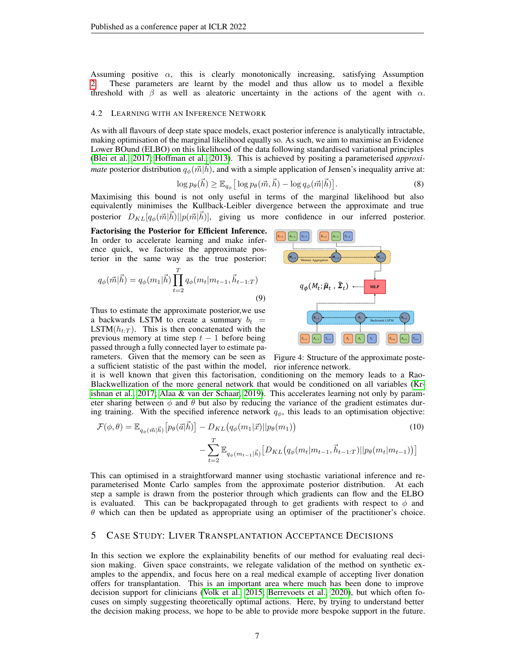Assuming positive  $\alpha$ , this is clearly monotonically increasing, satisfying Assumption [2.](#page-2-1) These parameters are learnt by the model and thus allow us to model a flexible threshold with  $\beta$  as well as aleatoric uncertainty in the actions of the agent with  $\alpha$ .

#### 4.2 LEARNING WITH AN INFERENCE NETWORK

As with all flavours of deep state space models, exact posterior inference is analytically intractable, making optimisation of the marginal likelihood equally so. As such, we aim to maximise an Evidence Lower BOund (ELBO) on this likelihood of the data following standardised variational principles [\(Blei et al., 2017;](#page-9-12) [Hoffman et al., 2013\)](#page-10-13). This is achieved by positing a parameterised *approximate* posterior distribution  $q_{\phi}(\vec{m}|\vec{h})$ , and with a simple application of Jensen's inequality arrive at:

$$
\log p_{\theta}(\vec{h}) \geq \mathbb{E}_{q_{\phi}} \Big[ \log p_{\theta}(\vec{m}, \vec{h}) - \log q_{\phi}(\vec{m}|\vec{h}) \Big]. \tag{8}
$$

Maximising this bound is not only useful in terms of the marginal likelihood but also equivalently minimises the Kullback-Leibler divergence between the approximate and true posterior  $D_{KL}[q_{\phi}(\vec{m}|\vec{h})||p(\vec{m}|\vec{h})]$ , giving us more confidence in our inferred posterior.

Factorising the Posterior for Efficient Inference. In order to accelerate learning and make inference quick, we factorise the approximate posterior in the same way as the true posterior:

$$
q_{\phi}(\vec{m}|\vec{h}) = q_{\phi}(m_1|\vec{h}) \prod_{t=2}^{T} q_{\phi}(m_t|m_{t-1}, \vec{h}_{t-1:T})
$$
\n(9)

Thus to estimate the approximate posterior,we use a backwards LSTM to create a summary  $b_t =$ LSTM $(h_{t:T})$ . This is then concatenated with the previous memory at time step  $t - 1$  before being passed through a fully connected layer to estimate pa-



rameters. Given that the memory can be seen as Figure 4: Structure of the approximate postea sufficient statistic of the past within the model, rior inference network.

it is well known that given this factorisation, conditioning on the memory leads to a Rao-Blackwellization of the more general network that would be conditioned on all variables [\(Kr](#page-10-4)[ishnan et al., 2017;](#page-10-4) [Alaa & van der Schaar, 2019\)](#page-9-13). This accelerates learning not only by parameter sharing between  $\phi$  and  $\theta$  but also by reducing the variance of the gradient estimates during training. With the specified inference network  $q_{\phi}$ , this leads to an optimisation objective:

$$
\mathcal{F}(\phi,\theta) = \mathbb{E}_{q_{\phi}(\vec{m}|\vec{h})} \left[ p_{\theta}(\vec{a}|\vec{h}) \right] - D_{KL} \big( q_{\phi}(m_1|\vec{x}) || p_{\theta}(m_1) \big) \tag{10}
$$
\n
$$
- \sum_{t=2}^{T} \mathbb{E}_{q_{\phi}(m_{t-1}|\vec{h})} \left[ D_{KL} \big( q_{\phi}(m_t|m_{t-1}, \vec{h}_{t-1:T}) || p_{\theta}(m_t|m_{t-1}) \big) \right]
$$

This can optimised in a straightforward manner using stochastic variational inference and reparameterised Monte Carlo samples from the approximate posterior distribution. At each step a sample is drawn from the posterior through which gradients can flow and the ELBO is evaluated. This can be backpropagated through to get gradients with respect to  $\phi$  and  $\theta$  which can then be updated as appropriate using an optimiser of the practitioner's choice.

# <span id="page-6-0"></span>5 CASE STUDY: LIVER TRANSPLANTATION ACCEPTANCE DECISIONS

In this section we explore the explainability benefits of our method for evaluating real decision making. Given space constraints, we relegate validation of the method on synthetic examples to the appendix, and focus here on a real medical example of accepting liver donation offers for transplantation. This is an important area where much has been done to improve decision support for clinicians [\(Volk et al., 2015;](#page-11-6) [Berrevoets et al., 2020\)](#page-9-14), but which often focuses on simply suggesting theoretically optimal actions. Here, by trying to understand better the decision making process, we hope to be able to provide more bespoke support in the future.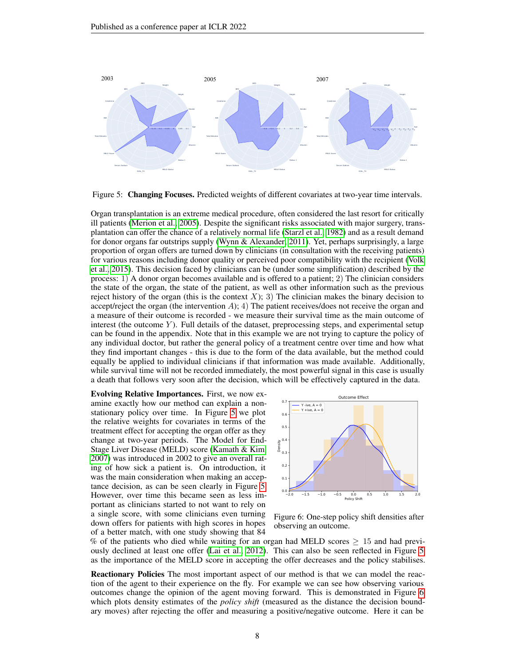<span id="page-7-0"></span>

Figure 5: Changing Focuses. Predicted weights of different covariates at two-year time intervals.

Organ transplantation is an extreme medical procedure, often considered the last resort for critically ill patients [\(Merion et al., 2005\)](#page-10-14). Despite the significant risks associated with major surgery, transplantation can offer the chance of a relatively normal life [\(Starzl et al., 1982\)](#page-11-7) and as a result demand for donor organs far outstrips supply [\(Wynn & Alexander, 2011\)](#page-11-8). Yet, perhaps surprisingly, a large proportion of organ offers are turned down by clinicians (in consultation with the receiving patients) for various reasons including donor quality or perceived poor compatibility with the recipient [\(Volk](#page-11-6) [et al., 2015\)](#page-11-6). This decision faced by clinicians can be (under some simplification) described by the process: 1) A donor organ becomes available and is offered to a patient; 2) The clinician considers the state of the organ, the state of the patient, as well as other information such as the previous reject history of the organ (this is the context X); 3) The clinician makes the binary decision to accept/reject the organ (the intervention  $A$ ); 4) The patient receives/does not receive the organ and a measure of their outcome is recorded - we measure their survival time as the main outcome of interest (the outcome  $Y$ ). Full details of the dataset, preprocessing steps, and experimental setup can be found in the appendix. Note that in this example we are not trying to capture the policy of any individual doctor, but rather the general policy of a treatment centre over time and how what they find important changes - this is due to the form of the data available, but the method could equally be applied to individual clinicians if that information was made available. Additionally, while survival time will not be recorded immediately, the most powerful signal in this case is usually a death that follows very soon after the decision, which will be effectively captured in the data.

Evolving Relative Importances. First, we now examine exactly how our method can explain a nonstationary policy over time. In Figure [5](#page-7-0) we plot the relative weights for covariates in terms of the treatment effect for accepting the organ offer as they change at two-year periods. The Model for End-Stage Liver Disease (MELD) score [\(Kamath & Kim,](#page-10-15) [2007\)](#page-10-15) was introduced in 2002 to give an overall rating of how sick a patient is. On introduction, it was the main consideration when making an acceptance decision, as can be seen clearly in Figure [5.](#page-7-0) However, over time this became seen as less important as clinicians started to not want to rely on a single score, with some clinicians even turning down offers for patients with high scores in hopes of a better match, with one study showing that 84

<span id="page-7-1"></span>

Figure 6: One-step policy shift densities after observing an outcome.

% of the patients who died while waiting for an organ had MELD scores  $\geq 15$  and had previously declined at least one offer [\(Lai et al., 2012\)](#page-10-16). This can also be seen reflected in Figure [5](#page-7-0) as the importance of the MELD score in accepting the offer decreases and the policy stabilises.

Reactionary Policies The most important aspect of our method is that we can model the reaction of the agent to their experience on the fly. For example we can see how observing various outcomes change the opinion of the agent moving forward. This is demonstrated in Figure [6](#page-7-1) which plots density estimates of the *policy shift* (measured as the distance the decision boundary moves) after rejecting the offer and measuring a positive/negative outcome. Here it can be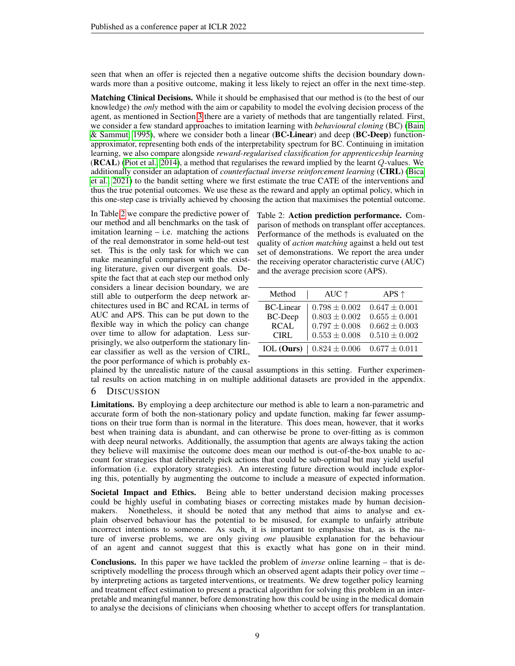seen that when an offer is rejected then a negative outcome shifts the decision boundary downwards more than a positive outcome, making it less likely to reject an offer in the next time-step.

Matching Clinical Decisions. While it should be emphasised that our method is (to the best of our knowledge) the *only* method with the aim or capability to model the evolving decision process of the agent, as mentioned in Section [3](#page-2-3) there are a variety of methods that are tangentially related. First, we consider a few standard approaches to imitation learning with *behavioural cloning* (BC) [\(Bain](#page-9-0) [& Sammut, 1995\)](#page-9-0), where we consider both a linear (BC-Linear) and deep (BC-Deep) functionapproximator, representing both ends of the interpretability spectrum for BC. Continuing in imitation learning, we also compare alongside *reward-regularised classification for apprenticeship learning* (**RCAL**) [\(Piot et al., 2014\)](#page-10-17), a method that regularises the reward implied by the learnt  $Q$ -values. We additionally consider an adaptation of *counterfactual inverse reinforcement learning* (CIRL) [\(Bica](#page-9-8) [et al., 2021\)](#page-9-8) to the bandit setting where we first estimate the true CATE of the interventions and thus the true potential outcomes. We use these as the reward and apply an optimal policy, which in this one-step case is trivially achieved by choosing the action that maximises the potential outcome.

In Table [2](#page-8-0) we compare the predictive power of our method and all benchmarks on the task of imitation learning – i.e. matching the actions of the real demonstrator in some held-out test set. This is the only task for which we can make meaningful comparison with the existing literature, given our divergent goals. Despite the fact that at each step our method only considers a linear decision boundary, we are still able to outperform the deep network architectures used in BC and RCAL in terms of AUC and APS. This can be put down to the flexible way in which the policy can change over time to allow for adaptation. Less surprisingly, we also outperform the stationary linear classifier as well as the version of CIRL, the poor performance of which is probably ex<span id="page-8-0"></span>Table 2: Action prediction performance. Comparison of methods on transplant offer acceptances. Performance of the methods is evaluated on the quality of *action matching* against a held out test set of demonstrations. We report the area under the receiving operator characteristic curve (AUC) and the average precision score (APS).

| AUC $\uparrow$    | APS $\uparrow$    |  |
|-------------------|-------------------|--|
| $0.798 \pm 0.002$ | $0.647 \pm 0.001$ |  |
| $0.803 \pm 0.002$ | $0.655 \pm 0.001$ |  |
|                   | $0.662 \pm 0.003$ |  |
| $0.553 \pm 0.008$ | $0.510 \pm 0.002$ |  |
| $0.824 \pm 0.006$ | $0.677 \pm 0.011$ |  |
|                   | $0.797\pm0.008$   |  |

plained by the unrealistic nature of the causal assumptions in this setting. Further experimental results on action matching in on multiple additional datasets are provided in the appendix.

#### 6 DISCUSSION

Limitations. By employing a deep architecture our method is able to learn a non-parametric and accurate form of both the non-stationary policy and update function, making far fewer assumptions on their true form than is normal in the literature. This does mean, however, that it works best when training data is abundant, and can otherwise be prone to over-fitting as is common with deep neural networks. Additionally, the assumption that agents are always taking the action they believe will maximise the outcome does mean our method is out-of-the-box unable to account for strategies that deliberately pick actions that could be sub-optimal but may yield useful information (i.e. exploratory strategies). An interesting future direction would include exploring this, potentially by augmenting the outcome to include a measure of expected information.

Societal Impact and Ethics. Being able to better understand decision making processes could be highly useful in combating biases or correcting mistakes made by human decisionmakers. Nonetheless, it should be noted that any method that aims to analyse and explain observed behaviour has the potential to be misused, for example to unfairly attribute incorrect intentions to someone. As such, it is important to emphasise that, as is the nature of inverse problems, we are only giving *one* plausible explanation for the behaviour of an agent and cannot suggest that this is exactly what has gone on in their mind.

Conclusions. In this paper we have tackled the problem of *inverse* online learning – that is descriptively modelling the process through which an observed agent adapts their policy over time – by interpreting actions as targeted interventions, or treatments. We drew together policy learning and treatment effect estimation to present a practical algorithm for solving this problem in an interpretable and meaningful manner, before demonstrating how this could be using in the medical domain to analyse the decisions of clinicians when choosing whether to accept offers for transplantation.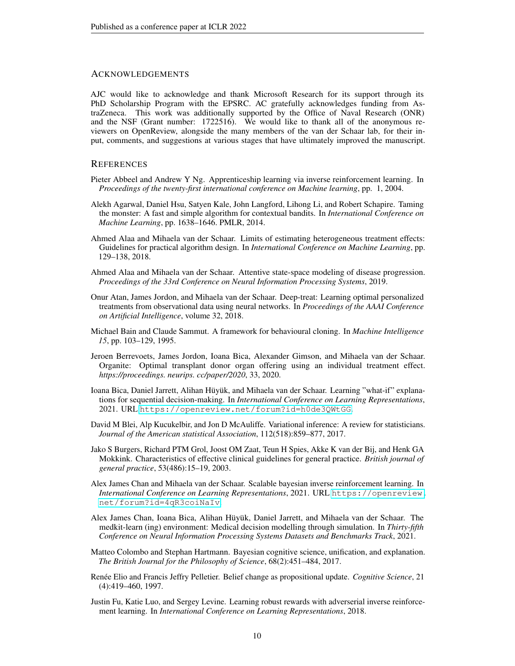## **ACKNOWLEDGEMENTS**

AJC would like to acknowledge and thank Microsoft Research for its support through its PhD Scholarship Program with the EPSRC. AC gratefully acknowledges funding from AstraZeneca. This work was additionally supported by the Office of Naval Research (ONR) and the NSF (Grant number: 1722516). We would like to thank all of the anonymous reviewers on OpenReview, alongside the many members of the van der Schaar lab, for their input, comments, and suggestions at various stages that have ultimately improved the manuscript.

#### **REFERENCES**

- <span id="page-9-1"></span>Pieter Abbeel and Andrew Y Ng. Apprenticeship learning via inverse reinforcement learning. In *Proceedings of the twenty-first international conference on Machine learning*, pp. 1, 2004.
- <span id="page-9-4"></span>Alekh Agarwal, Daniel Hsu, Satyen Kale, John Langford, Lihong Li, and Robert Schapire. Taming the monster: A fast and simple algorithm for contextual bandits. In *International Conference on Machine Learning*, pp. 1638–1646. PMLR, 2014.
- <span id="page-9-5"></span>Ahmed Alaa and Mihaela van der Schaar. Limits of estimating heterogeneous treatment effects: Guidelines for practical algorithm design. In *International Conference on Machine Learning*, pp. 129–138, 2018.
- <span id="page-9-13"></span>Ahmed Alaa and Mihaela van der Schaar. Attentive state-space modeling of disease progression. *Proceedings of the 33rd Conference on Neural Information Processing Systems*, 2019.
- <span id="page-9-3"></span>Onur Atan, James Jordon, and Mihaela van der Schaar. Deep-treat: Learning optimal personalized treatments from observational data using neural networks. In *Proceedings of the AAAI Conference on Artificial Intelligence*, volume 32, 2018.
- <span id="page-9-0"></span>Michael Bain and Claude Sammut. A framework for behavioural cloning. In *Machine Intelligence 15*, pp. 103–129, 1995.
- <span id="page-9-14"></span>Jeroen Berrevoets, James Jordon, Ioana Bica, Alexander Gimson, and Mihaela van der Schaar. Organite: Optimal transplant donor organ offering using an individual treatment effect. *https://proceedings. neurips. cc/paper/2020*, 33, 2020.
- <span id="page-9-8"></span>Ioana Bica, Daniel Jarrett, Alihan Hüyük, and Mihaela van der Schaar. Learning "what-if" explanations for sequential decision-making. In *International Conference on Learning Representations*, 2021. URL <https://openreview.net/forum?id=h0de3QWtGG>.
- <span id="page-9-12"></span>David M Blei, Alp Kucukelbir, and Jon D McAuliffe. Variational inference: A review for statisticians. *Journal of the American statistical Association*, 112(518):859–877, 2017.
- <span id="page-9-10"></span>Jako S Burgers, Richard PTM Grol, Joost OM Zaat, Teun H Spies, Akke K van der Bij, and Henk GA Mokkink. Characteristics of effective clinical guidelines for general practice. *British journal of general practice*, 53(486):15–19, 2003.
- <span id="page-9-7"></span>Alex James Chan and Mihaela van der Schaar. Scalable bayesian inverse reinforcement learning. In *International Conference on Learning Representations*, 2021. URL [https://openreview.](https://openreview.net/forum?id=4qR3coiNaIv) [net/forum?id=4qR3coiNaIv](https://openreview.net/forum?id=4qR3coiNaIv).
- <span id="page-9-9"></span>Alex James Chan, Ioana Bica, Alihan Hüyük, Daniel Jarrett, and Mihaela van der Schaar. The medkit-learn (ing) environment: Medical decision modelling through simulation. In *Thirty-fifth Conference on Neural Information Processing Systems Datasets and Benchmarks Track*, 2021.
- <span id="page-9-11"></span>Matteo Colombo and Stephan Hartmann. Bayesian cognitive science, unification, and explanation. *The British Journal for the Philosophy of Science*, 68(2):451–484, 2017.
- <span id="page-9-2"></span>Renée Elio and Francis Jeffry Pelletier. Belief change as propositional update. *Cognitive Science*, 21 (4):419–460, 1997.
- <span id="page-9-6"></span>Justin Fu, Katie Luo, and Sergey Levine. Learning robust rewards with adverserial inverse reinforcement learning. In *International Conference on Learning Representations*, 2018.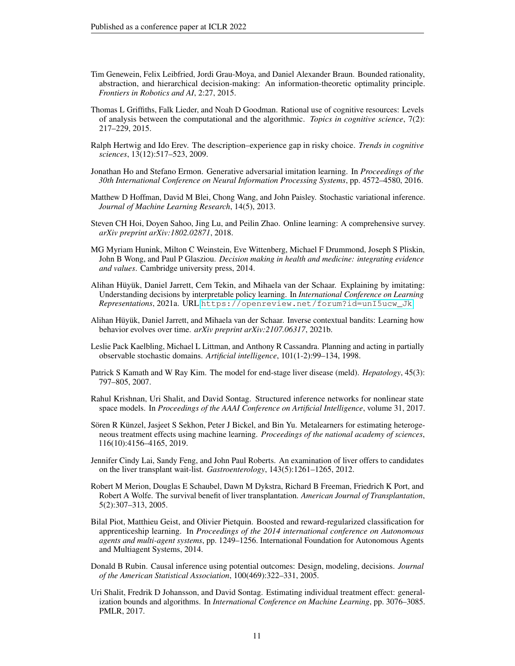- <span id="page-10-12"></span>Tim Genewein, Felix Leibfried, Jordi Grau-Moya, and Daniel Alexander Braun. Bounded rationality, abstraction, and hierarchical decision-making: An information-theoretic optimality principle. *Frontiers in Robotics and AI*, 2:27, 2015.
- <span id="page-10-6"></span>Thomas L Griffiths, Falk Lieder, and Noah D Goodman. Rational use of cognitive resources: Levels of analysis between the computational and the algorithmic. *Topics in cognitive science*, 7(2): 217–229, 2015.
- <span id="page-10-3"></span>Ralph Hertwig and Ido Erev. The description–experience gap in risky choice. *Trends in cognitive sciences*, 13(12):517–523, 2009.
- <span id="page-10-9"></span>Jonathan Ho and Stefano Ermon. Generative adversarial imitation learning. In *Proceedings of the 30th International Conference on Neural Information Processing Systems*, pp. 4572–4580, 2016.
- <span id="page-10-13"></span>Matthew D Hoffman, David M Blei, Chong Wang, and John Paisley. Stochastic variational inference. *Journal of Machine Learning Research*, 14(5), 2013.
- <span id="page-10-2"></span>Steven CH Hoi, Doyen Sahoo, Jing Lu, and Peilin Zhao. Online learning: A comprehensive survey. *arXiv preprint arXiv:1802.02871*, 2018.
- <span id="page-10-1"></span>MG Myriam Hunink, Milton C Weinstein, Eve Wittenberg, Michael F Drummond, Joseph S Pliskin, John B Wong, and Paul P Glasziou. *Decision making in health and medicine: integrating evidence and values*. Cambridge university press, 2014.
- <span id="page-10-0"></span>Alihan Hüyük, Daniel Jarrett, Cem Tekin, and Mihaela van der Schaar. Explaining by imitating: Understanding decisions by interpretable policy learning. In *International Conference on Learning Representations*, 2021a. URL [https://openreview.net/forum?id=unI5ucw\\_Jk](https://openreview.net/forum?id=unI5ucw_Jk).
- <span id="page-10-10"></span>Alihan Hüyük, Daniel Jarrett, and Mihaela van der Schaar. Inverse contextual bandits: Learning how behavior evolves over time. *arXiv preprint arXiv:2107.06317*, 2021b.
- <span id="page-10-11"></span>Leslie Pack Kaelbling, Michael L Littman, and Anthony R Cassandra. Planning and acting in partially observable stochastic domains. *Artificial intelligence*, 101(1-2):99–134, 1998.
- <span id="page-10-15"></span>Patrick S Kamath and W Ray Kim. The model for end-stage liver disease (meld). *Hepatology*, 45(3): 797–805, 2007.
- <span id="page-10-4"></span>Rahul Krishnan, Uri Shalit, and David Sontag. Structured inference networks for nonlinear state space models. In *Proceedings of the AAAI Conference on Artificial Intelligence*, volume 31, 2017.
- <span id="page-10-8"></span>Sören R Künzel, Jasjeet S Sekhon, Peter J Bickel, and Bin Yu. Metalearners for estimating heterogeneous treatment effects using machine learning. *Proceedings of the national academy of sciences*, 116(10):4156–4165, 2019.
- <span id="page-10-16"></span>Jennifer Cindy Lai, Sandy Feng, and John Paul Roberts. An examination of liver offers to candidates on the liver transplant wait-list. *Gastroenterology*, 143(5):1261–1265, 2012.
- <span id="page-10-14"></span>Robert M Merion, Douglas E Schaubel, Dawn M Dykstra, Richard B Freeman, Friedrich K Port, and Robert A Wolfe. The survival benefit of liver transplantation. *American Journal of Transplantation*, 5(2):307–313, 2005.
- <span id="page-10-17"></span>Bilal Piot, Matthieu Geist, and Olivier Pietquin. Boosted and reward-regularized classification for apprenticeship learning. In *Proceedings of the 2014 international conference on Autonomous agents and multi-agent systems*, pp. 1249–1256. International Foundation for Autonomous Agents and Multiagent Systems, 2014.
- <span id="page-10-5"></span>Donald B Rubin. Causal inference using potential outcomes: Design, modeling, decisions. *Journal of the American Statistical Association*, 100(469):322–331, 2005.
- <span id="page-10-7"></span>Uri Shalit, Fredrik D Johansson, and David Sontag. Estimating individual treatment effect: generalization bounds and algorithms. In *International Conference on Machine Learning*, pp. 3076–3085. PMLR, 2017.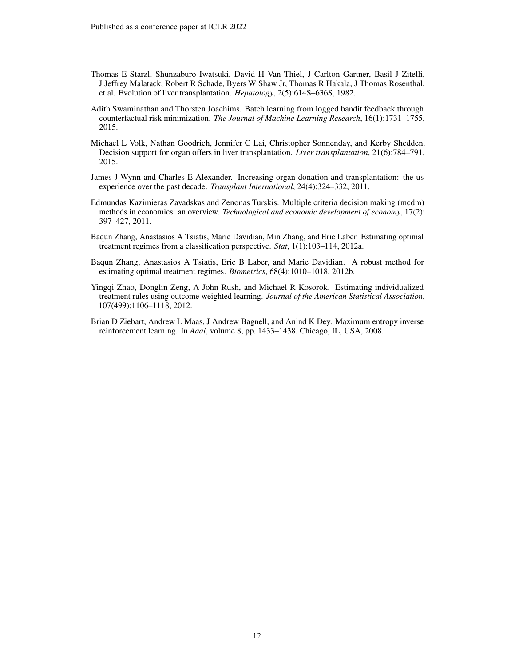- <span id="page-11-7"></span>Thomas E Starzl, Shunzaburo Iwatsuki, David H Van Thiel, J Carlton Gartner, Basil J Zitelli, J Jeffrey Malatack, Robert R Schade, Byers W Shaw Jr, Thomas R Hakala, J Thomas Rosenthal, et al. Evolution of liver transplantation. *Hepatology*, 2(5):614S–636S, 1982.
- <span id="page-11-1"></span>Adith Swaminathan and Thorsten Joachims. Batch learning from logged bandit feedback through counterfactual risk minimization. *The Journal of Machine Learning Research*, 16(1):1731–1755, 2015.
- <span id="page-11-6"></span>Michael L Volk, Nathan Goodrich, Jennifer C Lai, Christopher Sonnenday, and Kerby Shedden. Decision support for organ offers in liver transplantation. *Liver transplantation*, 21(6):784–791, 2015.
- <span id="page-11-8"></span>James J Wynn and Charles E Alexander. Increasing organ donation and transplantation: the us experience over the past decade. *Transplant International*, 24(4):324–332, 2011.
- <span id="page-11-0"></span>Edmundas Kazimieras Zavadskas and Zenonas Turskis. Multiple criteria decision making (mcdm) methods in economics: an overview. *Technological and economic development of economy*, 17(2): 397–427, 2011.
- <span id="page-11-2"></span>Baqun Zhang, Anastasios A Tsiatis, Marie Davidian, Min Zhang, and Eric Laber. Estimating optimal treatment regimes from a classification perspective. *Stat*, 1(1):103–114, 2012a.
- <span id="page-11-3"></span>Baqun Zhang, Anastasios A Tsiatis, Eric B Laber, and Marie Davidian. A robust method for estimating optimal treatment regimes. *Biometrics*, 68(4):1010–1018, 2012b.
- <span id="page-11-4"></span>Yingqi Zhao, Donglin Zeng, A John Rush, and Michael R Kosorok. Estimating individualized treatment rules using outcome weighted learning. *Journal of the American Statistical Association*, 107(499):1106–1118, 2012.
- <span id="page-11-5"></span>Brian D Ziebart, Andrew L Maas, J Andrew Bagnell, and Anind K Dey. Maximum entropy inverse reinforcement learning. In *Aaai*, volume 8, pp. 1433–1438. Chicago, IL, USA, 2008.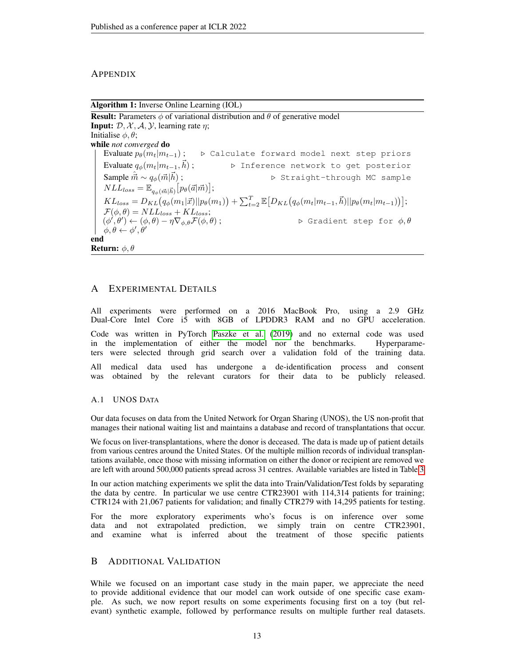## **APPENDIX**

Algorithm 1: Inverse Online Learning (IOL) **Result:** Parameters  $\phi$  of variational distribution and  $\theta$  of generative model **Input:**  $\mathcal{D}, \mathcal{X}, \mathcal{A}, \mathcal{Y}$ , learning rate  $\eta$ ;

Initialise  $\phi, \theta$ ; while *not converged* do Evaluate  $p_{\theta}(m_t|m_{t-1})$ ;  $\triangleright$  Calculate forward model next step priors Evaluate  $q_{\phi}(m_t|m_{t-1}, \vec{h})$ ;  $D$  Inference network to get posterior Sample  $\hat{\vec{m}} \sim q_{\phi}(\vec{m}|\vec{h})$ ;  $D$  Straight-through MC sample  $NLL_{loss} = \mathbb{E}_{q_{\phi}(\vec{m}|\vec{h})} \big[p_{\theta}(\vec{a}|\vec{m})\big];$  $KL_{loss} = D_{KL}(q_{\phi}(m_1|\vec{x})||p_{\theta}(m_1)) + \sum_{t=2}^{T} \mathbb{E}[D_{KL}(q_{\phi}(m_t|m_{t-1}, \vec{h})||p_{\theta}(m_t|m_{t-1}))];$  $\mathcal{F}(\phi,\theta) = NLL_{loss} + KL_{loss};$  $(\phi', \theta'$  $▶$  Gradient step for  $φ, θ$  $\phi, \theta \leftarrow \phi', \theta'$ end **Return:**  $\phi$ ,  $\theta$ 

# A EXPERIMENTAL DETAILS

All experiments were performed on a 2016 MacBook Pro, using a 2.9 GHz Dual-Core Intel Core i5 with 8GB of LPDDR3 RAM and no GPU acceleration. Code was written in PyTorch [Paszke et al.](#page-15-0) [\(2019\)](#page-15-0) and no external code was used in the implementation of either the model nor the benchmarks. Hyperparameters were selected through grid search over a validation fold of the training data. All medical data used has undergone a de-identification process and consent was obtained by the relevant curators for their data to be publicly released.

#### A.1 UNOS DATA

Our data focuses on data from the United Network for Organ Sharing (UNOS), the US non-profit that manages their national waiting list and maintains a database and record of transplantations that occur.

We focus on liver-transplantations, where the donor is deceased. The data is made up of patient details from various centres around the United States. Of the multiple million records of individual transplantations available, once those with missing information on either the donor or recipient are removed we are left with around 500,000 patients spread across 31 centres. Available variables are listed in Table [3](#page-13-0)

In our action matching experiments we split the data into Train/Validation/Test folds by separating the data by centre. In particular we use centre CTR23901 with 114,314 patients for training; CTR124 with 21,067 patients for validation; and finally CTR279 with 14,295 patients for testing.

For the more exploratory experiments who's focus is on inference over some data and not extrapolated prediction, we simply train on centre CTR23901, and examine what is inferred about the treatment of those specific patients

# B ADDITIONAL VALIDATION

While we focused on an important case study in the main paper, we appreciate the need to provide additional evidence that our model can work outside of one specific case example. As such, we now report results on some experiments focusing first on a toy (but relevant) synthetic example, followed by performance results on multiple further real datasets.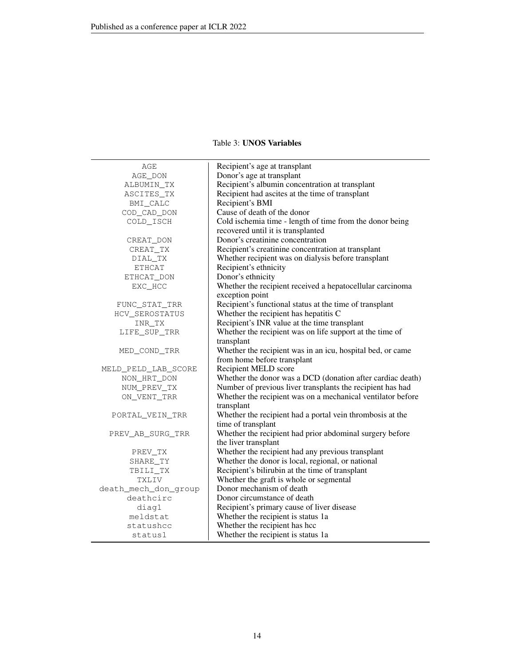# Table 3: UNOS Variables

<span id="page-13-0"></span>

| AGE                  | Recipient's age at transplant                               |  |  |
|----------------------|-------------------------------------------------------------|--|--|
| AGE_DON              | Donor's age at transplant                                   |  |  |
| ALBUMIN_TX           | Recipient's albumin concentration at transplant             |  |  |
| ASCITES_TX           | Recipient had ascites at the time of transplant             |  |  |
| BMI_CALC             | Recipient's BMI                                             |  |  |
| COD_CAD_DON          | Cause of death of the donor                                 |  |  |
| COLD ISCH            | Cold ischemia time - length of time from the donor being    |  |  |
|                      | recovered until it is transplanted                          |  |  |
| CREAT_DON            | Donor's creatinine concentration                            |  |  |
| CREAT_TX             | Recipient's creatinine concentration at transplant          |  |  |
| DIAL TX              | Whether recipient was on dialysis before transplant         |  |  |
| ETHCAT               | Recipient's ethnicity                                       |  |  |
| ETHCAT_DON           | Donor's ethnicity                                           |  |  |
| EXC_HCC              | Whether the recipient received a hepatocellular carcinoma   |  |  |
|                      | exception point                                             |  |  |
| FUNC_STAT_TRR        | Recipient's functional status at the time of transplant     |  |  |
| HCV_SEROSTATUS       | Whether the recipient has hepatitis C                       |  |  |
| INR_TX               | Recipient's INR value at the time transplant                |  |  |
| LIFE_SUP_TRR         | Whether the recipient was on life support at the time of    |  |  |
|                      | transplant                                                  |  |  |
| MED COND TRR         | Whether the recipient was in an icu, hospital bed, or came  |  |  |
|                      | from home before transplant                                 |  |  |
| MELD_PELD_LAB_SCORE  | Recipient MELD score                                        |  |  |
| NON_HRT_DON          | Whether the donor was a DCD (donation after cardiac death)  |  |  |
| NUM_PREV_TX          | Number of previous liver transplants the recipient has had  |  |  |
| ON_VENT_TRR          | Whether the recipient was on a mechanical ventilator before |  |  |
|                      | transplant                                                  |  |  |
| PORTAL_VEIN_TRR      | Whether the recipient had a portal vein thrombosis at the   |  |  |
|                      | time of transplant                                          |  |  |
| PREV_AB_SURG_TRR     | Whether the recipient had prior abdominal surgery before    |  |  |
|                      | the liver transplant                                        |  |  |
| PREV TX              | Whether the recipient had any previous transplant           |  |  |
| SHARE_TY             | Whether the donor is local, regional, or national           |  |  |
| TBILI_TX             | Recipient's bilirubin at the time of transplant             |  |  |
| TXLIV                | Whether the graft is whole or segmental                     |  |  |
| death_mech_don_group | Donor mechanism of death                                    |  |  |
| deathcirc            | Donor circumstance of death                                 |  |  |
| diag1                | Recipient's primary cause of liver disease                  |  |  |
| meldstat             | Whether the recipient is status 1a                          |  |  |
| statushcc            | Whether the recipient has hcc                               |  |  |
| status1              | Whether the recipient is status 1a                          |  |  |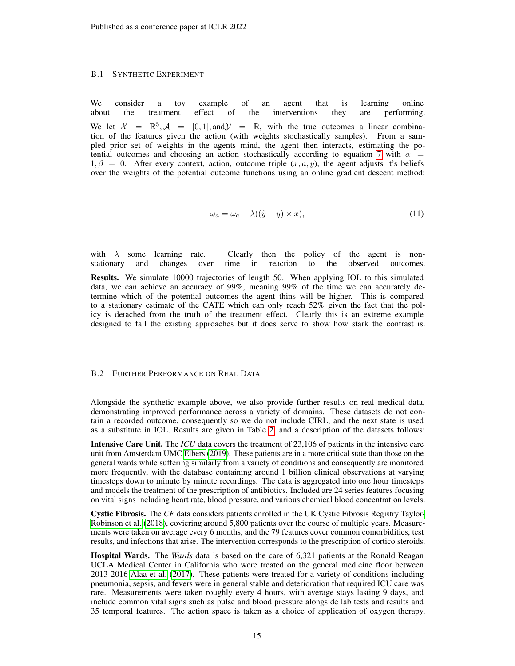#### B.1 SYNTHETIC EXPERIMENT

We consider a toy example of an agent that is learning online about the treatment effect of the interventions they are performing. We let  $\mathcal{X} = \mathbb{R}^5$ ,  $\mathcal{A} = [0, 1]$ , and  $\mathcal{Y} = \mathbb{R}$ , with the true outcomes a linear combination of the features given the action (with weights stochastically samples). From a sampled prior set of weights in the agents mind, the agent then interacts, estimating the po-tential outcomes and choosing an action stochastically according to equation [7](#page-5-0) with  $\alpha$  =  $1, \beta = 0$ . After every context, action, outcome triple  $(x, a, y)$ , the agent adjusts it's beliefs over the weights of the potential outcome functions using an online gradient descent method:

$$
\omega_a = \omega_a - \lambda((\tilde{y} - y) \times x),\tag{11}
$$

with  $\lambda$  some learning rate. Clearly then the policy of the agent is nonstationary and changes over time in reaction to the observed outcomes.

Results. We simulate 10000 trajectories of length 50. When applying IOL to this simulated data, we can achieve an accuracy of 99%, meaning 99% of the time we can accurately determine which of the potential outcomes the agent thins will be higher. This is compared to a stationary estimate of the CATE which can only reach 52% given the fact that the policy is detached from the truth of the treatment effect. Clearly this is an extreme example designed to fail the existing approaches but it does serve to show how stark the contrast is.

#### B.2 FURTHER PERFORMANCE ON REAL DATA

Alongside the synthetic example above, we also provide further results on real medical data, demonstrating improved performance across a variety of domains. These datasets do not contain a recorded outcome, consequently so we do not include CIRL, and the next state is used as a substitute in IOL. Results are given in Table [2,](#page-8-0) and a description of the datasets follows:

Intensive Care Unit. The *ICU* data covers the treatment of 23,106 of patients in the intensive care unit from Amsterdam UMC [Elbers](#page-15-1) [\(2019\)](#page-15-1). These patients are in a more critical state than those on the general wards while suffering similarly from a variety of conditions and consequently are monitored more frequently, with the database containing around 1 billion clinical observations at varying timesteps down to minute by minute recordings. The data is aggregated into one hour timesteps and models the treatment of the prescription of antibiotics. Included are 24 series features focusing on vital signs including heart rate, blood pressure, and various chemical blood concentration levels.

Cystic Fibrosis. The *CF* data considers patients enrolled in the UK Cystic Fibrosis Registry [Taylor-](#page-15-2)[Robinson et al.](#page-15-2) [\(2018\)](#page-15-2), coviering around 5,800 patients over the course of multiple years. Measurements were taken on average every 6 months, and the 79 features cover common comorbidities, test results, and infections that arise. The intervention corresponds to the prescription of cortico steroids.

Hospital Wards. The *Wards* data is based on the care of 6,321 patients at the Ronald Reagan UCLA Medical Center in California who were treated on the general medicine floor between 2013-2016 [Alaa et al.](#page-15-3) [\(2017\)](#page-15-3). These patients were treated for a variety of conditions including pneumonia, sepsis, and fevers were in general stable and deterioration that required ICU care was rare. Measurements were taken roughly every 4 hours, with average stays lasting 9 days, and include common vital signs such as pulse and blood pressure alongside lab tests and results and 35 temporal features. The action space is taken as a choice of application of oxygen therapy.